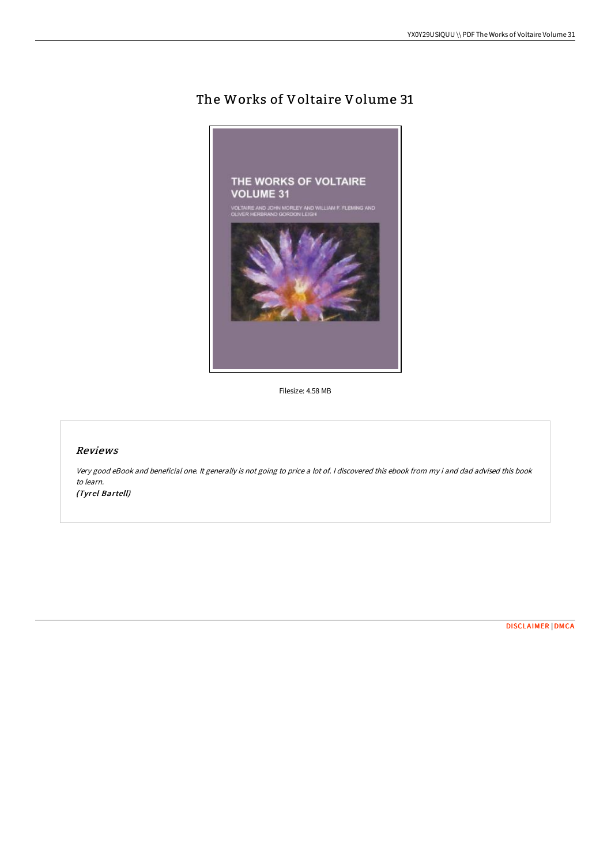# The Works of Voltaire Volume 31



Filesize: 4.58 MB

## Reviews

Very good eBook and beneficial one. It generally is not going to price <sup>a</sup> lot of. <sup>I</sup> discovered this ebook from my i and dad advised this book to learn. (Tyrel Bartell)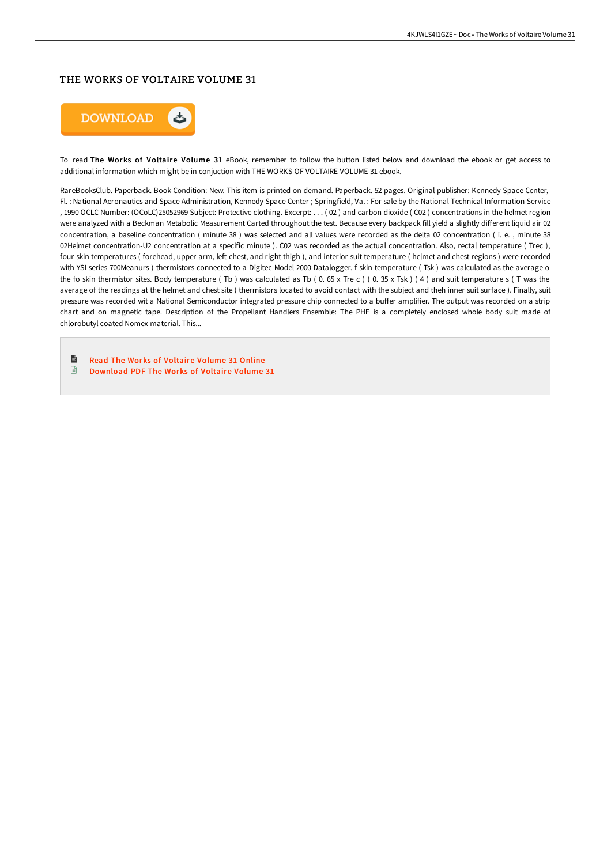### THE WORKS OF VOLTAIRE VOLUME 31



To read The Works of Voltaire Volume 31 eBook, remember to follow the button listed below and download the ebook or get access to additional information which might be in conjuction with THE WORKS OF VOLTAIRE VOLUME 31 ebook.

RareBooksClub. Paperback. Book Condition: New. This item is printed on demand. Paperback. 52 pages. Original publisher: Kennedy Space Center, Fl. : National Aeronautics and Space Administration, Kennedy Space Center ; Springfield, Va. : For sale by the National Technical Information Service , 1990 OCLC Number: (OCoLC)25052969 Subject: Protective clothing. Excerpt: . . . ( 02 ) and carbon dioxide ( C02 ) concentrations in the helmet region were analyzed with a Beckman Metabolic Measurement Carted throughout the test. Because every backpack fill yield a slightly different liquid air 02 concentration, a baseline concentration ( minute 38 ) was selected and all values were recorded as the delta 02 concentration ( i. e. , minute 38 02Helmet concentration-U2 concentration at a specific minute ). C02 was recorded as the actual concentration. Also, rectal temperature ( Trec ), four skin temperatures (forehead, upper arm, left chest, and right thigh), and interior suit temperature (helmet and chest regions) were recorded with YSI series 700Meanurs ) thermistors connected to a Digitec Model 2000 Datalogger. f skin temperature ( Tsk ) was calculated as the average o the fo skin thermistor sites. Body temperature (Tb) was calculated as Tb (0.65 x Tre c) (0.35 x Tsk) (4) and suit temperature s (T was the average of the readings at the helmet and chest site ( thermistors located to avoid contact with the subject and theh inner suit surface ). Finally, suit pressure was recorded wit a National Semiconductor integrated pressure chip connected to a buffer amplifier. The output was recorded on a strip chart and on magnetic tape. Description of the Propellant Handlers Ensemble: The PHE is a completely enclosed whole body suit made of chlorobutyl coated Nomex material. This...

B Read The Works of [Voltaire](http://bookera.tech/the-works-of-voltaire-volume-31.html) Volume 31 Online  $\mathbb{R}$ 

[Download](http://bookera.tech/the-works-of-voltaire-volume-31.html) PDF The Works of Voltaire Volume 31